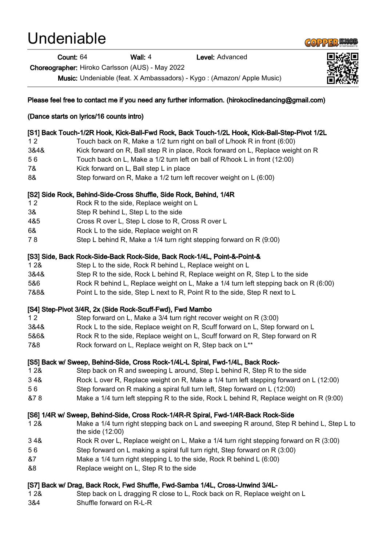# Undeniable

Count: 64 Wall: 4 Level: Advanced

Choreographer: Hiroko Carlsson (AUS) - May 2022

Music: Undeniable (feat. X Ambassadors) - Kygo : (Amazon/ Apple Music)



- &7 Make a 1/4 turn right stepping L to the side, Rock R behind L (6:00)
- &8 Replace weight on L, Step R to the side

## [S7] Back w/ Drag, Back Rock, Fwd Shuffle, Fwd-Samba 1/4L, Cross-Unwind 3/4L-

- 1 2& Step back on L dragging R close to L, Rock back on R, Replace weight on L
- 3&4 Shuffle forward on R-L-R